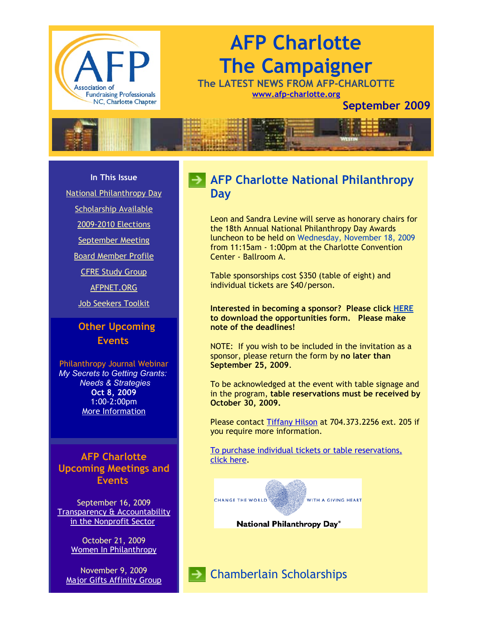

# **AFP Charlotte The Campaigner**

**The LATEST NEWS FROM AFP-CHARLOTTE [www.afp-charlotte.org](http://www.afp-charlotte.org/)**

**September 2009**



**In This Issue**

[National Philanthropy Day](http://archive.constantcontact.com/fs051/1101610725496/archive/1102681129521.html#LETTER.BLOCK12)

[Scholarship Available](http://archive.constantcontact.com/fs051/1101610725496/archive/1102681129521.html#LETTER.BLOCK26)

[2009-2010 Elections](http://archive.constantcontact.com/fs051/1101610725496/archive/1102681129521.html#LETTER.BLOCK13)

[September Meeting](http://archive.constantcontact.com/fs051/1101610725496/archive/1102681129521.html#LETTER.BLOCK24)

[Board Member Profile](http://archive.constantcontact.com/fs051/1101610725496/archive/1102681129521.html#LETTER.BLOCK17)

[CFRE Study Group](http://archive.constantcontact.com/fs051/1101610725496/archive/1102681129521.html#LETTER.BLOCK21)

[AFPNET.ORG](http://archive.constantcontact.com/fs051/1101610725496/archive/1102681129521.html#LETTER.BLOCK28)

[Job Seekers Toolkit](http://archive.constantcontact.com/fs051/1101610725496/archive/1102681129521.html#LETTER.BLOCK31)

**Other Upcoming Events**

Philanthropy Journal Webinar *My Secrets to Getting Grants: Needs & Strategies* **Oct 8, 2009** 1:00-2:00pm [More Information](https://www.philanthropyjournal.org/civicrm/event/info?reset=1&id=45)

**AFP Charlotte Upcoming Meetings and Events**

September 16, 2009 [Transparency & Accountability](http://www.afp-charlotte.org/rsvp_details.html?id=2223) in the Nonprofit Sector

> October 21, 2009 [Women In Philanthropy](http://www.afp-charlotte.org/rsvp_details.html?id=2224)

November 9, 2009 [Major Gifts Affinity Group](http://www.afp-charlotte.org/rsvp_details.html?id=2566)

# **AFP Charlotte National Philanthropy Day**

Leon and Sandra Levine will serve as honorary chairs for the 18th Annual National Philanthropy Day Awards luncheon to be held on Wednesday, November 18, 2009 from 11:15am - 1:00pm at the Charlotte Convention Center - Ballroom A.

Table sponsorships cost \$350 (table of eight) and individual tickets are \$40/person.

**Interested in becoming a sponsor? Please click [HERE](http://www.afp-charlotte.org/customers/102012921065393/filemanager/2009_NPD_Sponsorship_Form.pdf) to download the opportunities form. Please make note of the deadlines!**

NOTE: If you wish to be included in the invitation as a sponsor, please return the form by **no later than September 25, 2009**.

To be acknowledged at the event with table signage and in the program, **table reservations must be received by October 30, 2009.** 

Please contact [Tiffany Hilson](mailto:thilson@urbanleaguecc.org) at 704.373.2256 ext. 205 if you require more information.

[To purchase individual tickets or table reservations,](http://afp-charlotte.org/rsvp_details.html?id=2526) click here.



 $\rightarrow$  Chamberlain Scholarships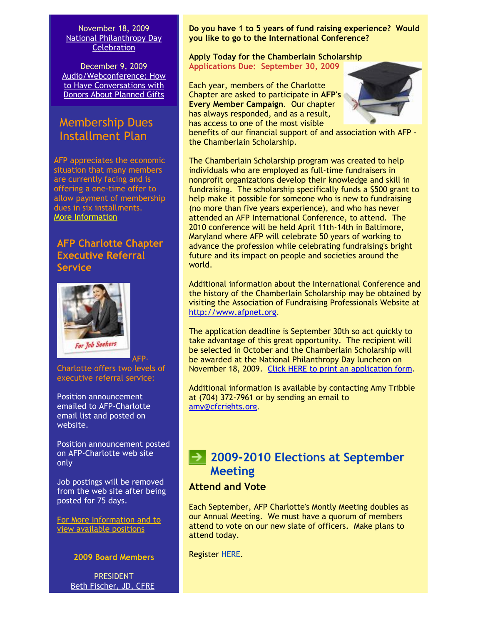November 18, 2009 [National Philanthropy Day](http://www.afp-charlotte.org/nationalphilanthropyday.html) **Celebration** 

December 9, 2009 [Audio/Webconference: How](http://www.afp-charlotte.org/rsvp_details.html?id=2225) to Have Conversations with Donors About Planned Gifts

# Membership Dues Installment Plan

AFP appreciates the economic situation that many members are currently facing and is offering a one-time offer to allow payment of membership dues in six installments. [More Information](http://www.afp-charlotte.org/customers/102012921065393/filemanager/MEMBERSHIP_INSTALLMENT_PLAN.pdf)

### **AFP Charlotte Chapter Executive Referral Service**



Charlotte offers two levels of executive referral service:

Position announcement emailed to AFP-Charlotte email list and posted on website.

Position announcement posted on AFP-Charlotte web site only

Job postings will be removed from the web site after being posted for 75 days.

[For More Information and to](http://www.afp-charlotte.org/executivereferrals.html) view available positions

**2009 Board Members**

**PRESIDENT** [Beth Fischer, JD, CFRE](mailto:beth.fischer@uncc.edu)

**Do you have 1 to 5 years of fund raising experience? Would you like to go to the International Conference?** 

#### **Apply Today for the Chamberlain Scholarship Applications Due: September 30, 2009**

Each year, members of the Charlotte Chapter are asked to participate in **AFP's Every Member Campaign**. Our chapter has always responded, and as a result, has access to one of the most visible



benefits of our financial support of and association with AFP the Chamberlain Scholarship.

The Chamberlain Scholarship program was created to help individuals who are employed as full-time fundraisers in nonprofit organizations develop their knowledge and skill in fundraising. The scholarship specifically funds a \$500 grant to help make it possible for someone who is new to fundraising (no more than five years experience), and who has never attended an AFP International Conference, to attend. The 2010 conference will be held April 11th-14th in Baltimore, Maryland where AFP will celebrate 50 years of working to advance the profession while celebrating fundraising's bright future and its impact on people and societies around the world.

Additional information about the International Conference and the history of the Chamberlain Scholarship may be obtained by visiting the Association of Fundraising Professionals Website at [http://www.afpnet.org.](http://www.afpnet.org/)

The application deadline is September 30th so act quickly to take advantage of this great opportunity. The recipient will be selected in October and the Chamberlain Scholarship will be awarded at the National Philanthropy Day luncheon on November 18, 2009. [Click HERE to print an application form.](http://www.afp-charlotte.org/customers/102012921065393/filemanager/2009_Chamberlain_Application.pdf)

Additional information is available by contacting Amy Tribble at (704) 372-7961 or by sending an email to [amy@cfcrights.org.](mailto:amy@cfcrights.org)

# **2009-2010 Elections at September Meeting**

### **Attend and Vote**

Each September, AFP Charlotte's Montly Meeting doubles as our Annual Meeting. We must have a quorum of members attend to vote on our new slate of officers. Make plans to attend today.

Register [HERE.](http://www.afp-charlotte.org/rsvp_details.html?id=2223)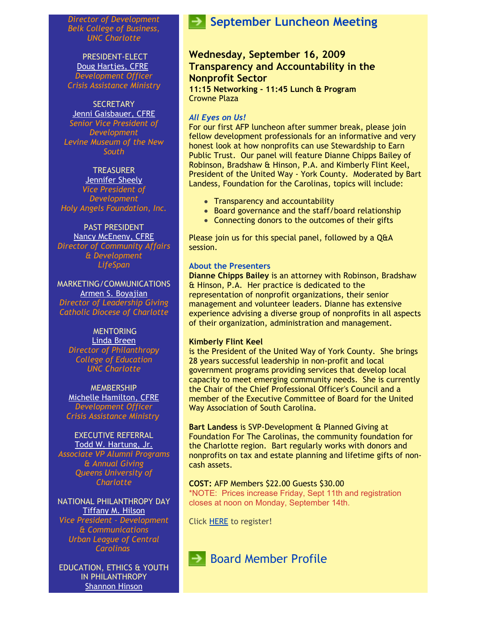*Director of Development Belk College of Business, UNC Charlotte*

PRESIDENT-ELECT [Doug Hartjes, CFRE](mailto:dhartjes@crisisassistance.org) *Development Officer Crisis Assistance Ministry*

#### **SECRETARY**

[Jenni Gaisbauer, CFRE](mailto:jgaisbauer@museumofthenewsouth.org) *Senior Vice President of Development Levine Museum of the New South*

#### **TREASURER**

[Jennifer Sheely](mailto:jennifers@holyangelsnc.org) *Vice President of Development Holy Angels Foundation, Inc.*

#### PAST PRESIDENT [Nancy McEneny, CFRE](mailto:nmceneny@lifespanservices.org)

*Director of Community Affairs & Development LifeSpan*

MARKETING/COMMUNICATIONS [Armen S. Boyajian](mailto:asboyajian@charlottediocese.org) *Director of Leadership Giving Catholic Diocese of Charlotte*

### **MENTORING**

[Linda Breen](mailto:lbreen@uncc.edu) *Director of Philanthropy College of Education UNC Charlotte*

**MEMBERSHIP** [Michelle Hamilton, CFRE](mailto:mhamilton@crisisassistance.org) *Development Officer Crisis Assistance Ministry*

#### EXECUTIVE REFERRAL [Todd W. Hartung, Jr.](mailto:Hartungt@queens.edu)

*Associate VP Alumni Programs & Annual Giving Queens University of Charlotte*

NATIONAL PHILANTHROPY DAY [Tiffany M. Hilson](mailto:thilson@urbanleaguecc.org)

*Vice President - Development & Communications Urban League of Central Carolinas*

EDUCATION, ETHICS & YOUTH IN PHILANTHROPY [Shannon Hinson](mailto:shinson@thompsoncff.org)

# **September Luncheon Meeting**

### **Wednesday, September 16, 2009 Transparency and Accountability in the Nonprofit Sector**

**11:15 Networking - 11:45 Lunch & Program** Crowne Plaza

#### *All Eyes on Us!*

For our first AFP luncheon after summer break, please join fellow development professionals for an informative and very honest look at how nonprofits can use Stewardship to Earn Public Trust. Our panel will feature Dianne Chipps Bailey of Robinson, Bradshaw & Hinson, P.A. and Kimberly Flint Keel, President of the United Way - York County. Moderated by Bart Landess, Foundation for the Carolinas, topics will include:

- Transparency and accountability
- Board governance and the staff/board relationship
- Connecting donors to the outcomes of their gifts

Please join us for this special panel, followed by a Q&A session.

#### **About the Presenters**

**Dianne Chipps Bailey** is an attorney with Robinson, Bradshaw & Hinson, P.A. Her practice is dedicated to the representation of nonprofit organizations, their senior management and volunteer leaders. Dianne has extensive experience advising a diverse group of nonprofits in all aspects of their organization, administration and management.

#### **Kimberly Flint Keel**

is the President of the United Way of York County. She brings 28 years successful leadership in non-profit and local government programs providing services that develop local capacity to meet emerging community needs. She is currently the Chair of the Chief Professional Officer's Council and a member of the Executive Committee of Board for the United Way Association of South Carolina.

**Bart Landess** is SVP-Development & Planned Giving at Foundation For The Carolinas, the community foundation for the Charlotte region. Bart regularly works with donors and nonprofits on tax and estate planning and lifetime gifts of noncash assets.

**COST:** AFP Members \$22.00 Guests \$30.00 \*NOTE: Prices increase Friday, Sept 11th and registration closes at noon on Monday, September 14th.

Click [HERE](http://www.afp-charlotte.org/rsvp_details.html?id=2223) to register!

**Board Member Profile**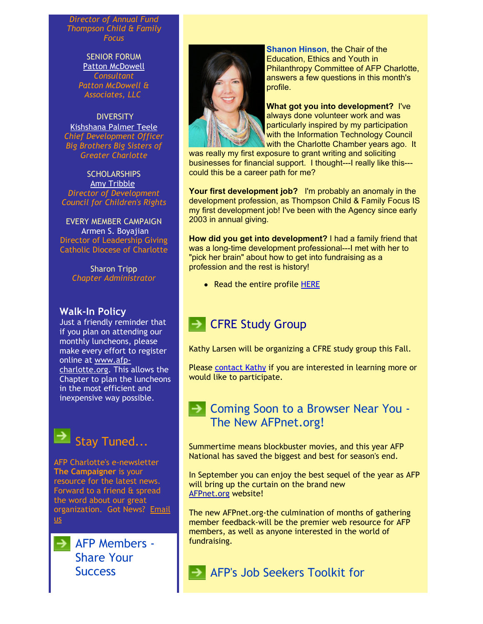*Director of Annual Fund Thompson Child & Family Focus*

> SENIOR FORUM [Patton McDowell](mailto:PM@pattonmcdowell.com) *Consultant Patton McDowell & Associates, LLC*

**DIVERSITY** [Kishshana Palmer Teele](mailto:kishshana.teele@gmail.com) *Chief Development Officer Big Brothers Big Sisters of Greater Charlotte*

**SCHOLARSHIPS** [Amy Tribble](mailto:amy@cfcrights.org) *Director of Development Council for Children's Rights*

EVERY MEMBER CAMPAIGN Armen S. Boyajian Director of Leadership Giving Catholic Diocese of Charlotte

> Sharon Tripp *Chapter Administrator*

### **Walk-In Policy**

Just a friendly reminder that if you plan on attending our monthly luncheons, please make every effort to register online at www.afp[charlotte.org. This a](http://www.afp-charlotte.org/)llows the Chapter to plan the luncheons in the most efficient and inexpensive way possible.

Stay Tuned...

AFP Charlotte's e-newsletter **The Campaigner** is your resource for the latest news. Forward to a friend & spread the word about our great [organization. Got News? Email](mailto:info@afp-charlotte.org) us

 $\rightarrow$  AFP Members -Share Your **Success** 



**Shanon Hinson**, the Chair of the Education, Ethics and Youth in Philanthropy Committee of AFP Charlotte, answers a few questions in this month's profile.

**What got you into development?** I've always done volunteer work and was particularly inspired by my participation with the Information Technology Council with the Charlotte Chamber years ago. It

was really my first exposure to grant writing and soliciting businesses for financial support. I thought---I really like this-- could this be a career path for me?

**Your first development job?** I'm probably an anomaly in the development profession, as Thompson Child & Family Focus IS my first development job! I've been with the Agency since early 2003 in annual giving.

**How did you get into development?** I had a family friend that was a long-time development professional---I met with her to "pick her brain" about how to get into fundraising as a profession and the rest is history!

• Read the entire profile [HERE](http://www.afp-charlotte.org/customers/102012921065393/filemanager/Bd_Profile_Hinson.pdf)

# **BEARGIVE Study Group**

Kathy Larsen will be organizing a CFRE study group this Fall.

Please [contact Kathy](mailto:Kathy.Larson@uncc.edu) if you are interested in learning more or would like to participate.

# **Browser Near You - Soon to a Browser Near You -**The New AFPnet.org!

Summertime means blockbuster movies, and this year AFP National has saved the biggest and best for season's end.

In September you can enjoy the best sequel of the year as AFP will bring up the curtain on the brand new [AFPnet.org](http://www.afpnet.org/) website!

The new AFPnet.org-the culmination of months of gathering member feedback-will be the premier web resource for AFP members, as well as anyone interested in the world of fundraising.

AFP's Job Seekers Toolkit for